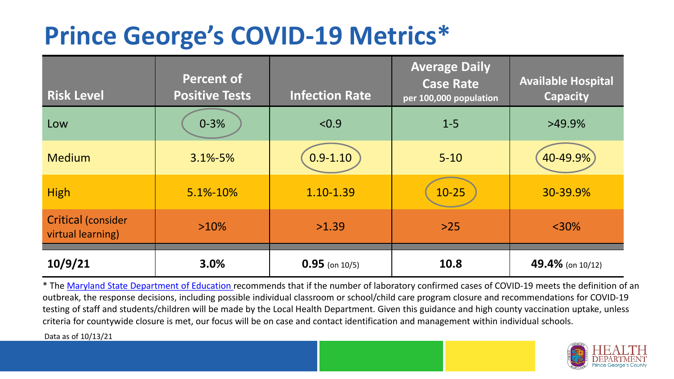## **Prince George's COVID-19 Metrics\***

| <b>Risk Level</b>                              | <b>Percent of</b><br><b>Positive Tests</b> | <b>Infection Rate</b> | <b>Average Daily</b><br><b>Case Rate</b><br>per 100,000 population | <b>Available Hospital</b><br><b>Capacity</b> |
|------------------------------------------------|--------------------------------------------|-----------------------|--------------------------------------------------------------------|----------------------------------------------|
| Low                                            | $0 - 3%$                                   | < 0.9                 | $1 - 5$                                                            | $>49.9\%$                                    |
| <b>Medium</b>                                  | $3.1\% - 5\%$                              | $0.9 - 1.10$          | $5 - 10$                                                           | 40-49.9%                                     |
| <b>High</b>                                    | 5.1%-10%                                   | 1.10-1.39             | $10 - 25$                                                          | 30-39.9%                                     |
| <b>Critical (consider</b><br>virtual learning) | $>10\%$                                    | >1.39                 | $>25$                                                              | $<$ 30%                                      |
| 10/9/21                                        | 3.0%                                       | $0.95$ (on 10/5)      | 10.8                                                               | 49.4% (on 10/12)                             |

\* The [Maryland State Department of Education r](https://earlychildhood.marylandpublicschools.org/system/files/filedepot/3/covid_guidance_full_080420.pdf)ecommends that if the number of laboratory confirmed cases of COVID-19 meets the definition of an outbreak, the response decisions, including possible individual classroom or school/child care program closure and recommendations for COVID-19 testing of staff and students/children will be made by the Local Health Department. Given this guidance and high county vaccination uptake, unless criteria for countywide closure is met, our focus will be on case and contact identification and management within individual schools.

Data as of 10/13/21

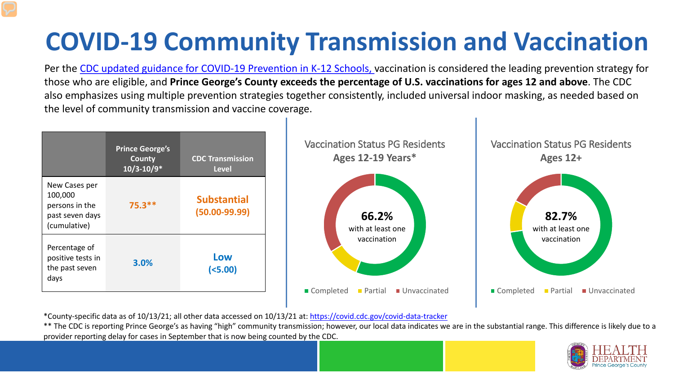# **COVID-19 Community Transmission and Vaccination**

Per the [CDC updated guidance for COVID-19 Prevention in K-12 Schools,](https://www.cdc.gov/coronavirus/2019-ncov/community/schools-childcare/k-12-guidance.html) vaccination is considered the leading prevention strategy for those who are eligible, and **Prince George's County exceeds the percentage of U.S. vaccinations for ages 12 and above**. The CDC also emphasizes using multiple prevention strategies together consistently, included universal indoor masking, as needed based on the level of community transmission and vaccine coverage.



\*County-specific data as of 10/13/21; all other data accessed on 10/13/21 at:<https://covid.cdc.gov/covid-data-tracker>

\*\* The CDC is reporting Prince George's as having "high" community transmission; however, our local data indicates we are in the substantial range. This difference is likely due to a provider reporting delay for cases in September that is now being counted by the CDC.

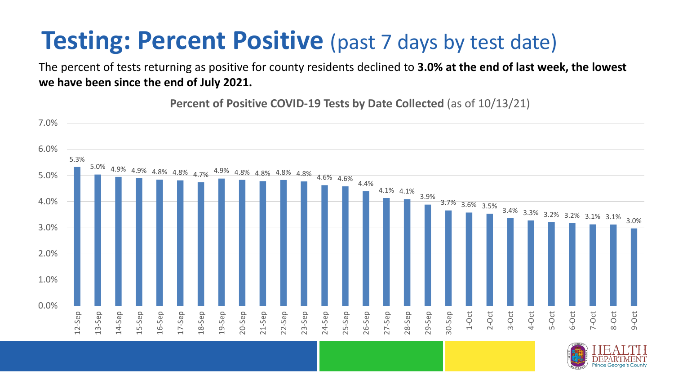### **Testing: Percent Positive** (past 7 days by test date)

The percent of tests returning as positive for county residents declined to **3.0% at the end of last week, the lowest we have been since the end of July 2021.** 

**Percent of Positive COVID-19 Tests by Date Collected** (as of 10/13/21)

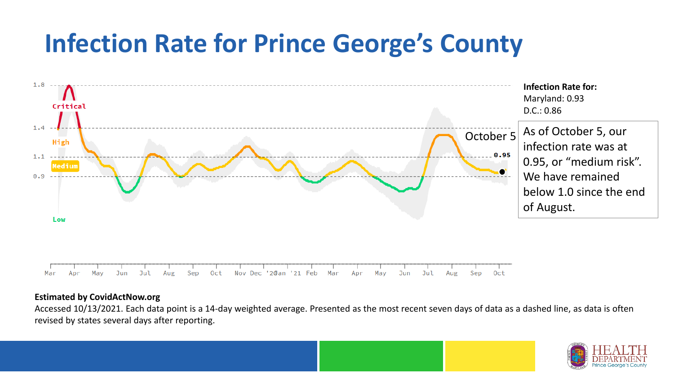### **Infection Rate for Prince George's County**



#### **Estimated by CovidActNow.org**

Accessed 10/13/2021. Each data point is a 14-day weighted average. Presented as the most recent seven days of data as a dashed line, as data is often revised by states several days after reporting.

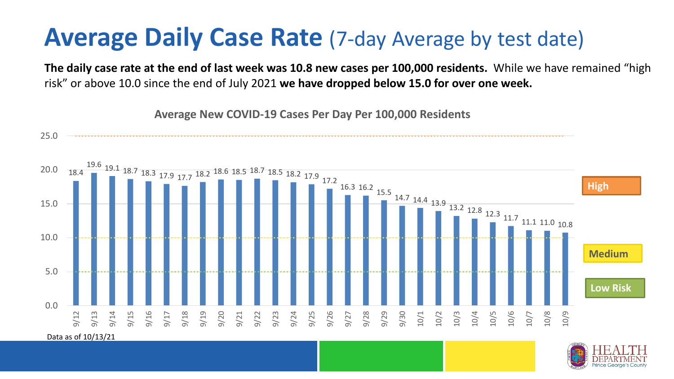#### **Average Daily Case Rate** (7-day Average by test date)

**The daily case rate at the end of last week was 10.8 new cases per 100,000 residents.** While we have remained "high risk" or above 10.0 since the end of July 2021 **we have dropped below 15.0 for over one week.** 



**Average New COVID-19 Cases Per Day Per 100,000 Residents**